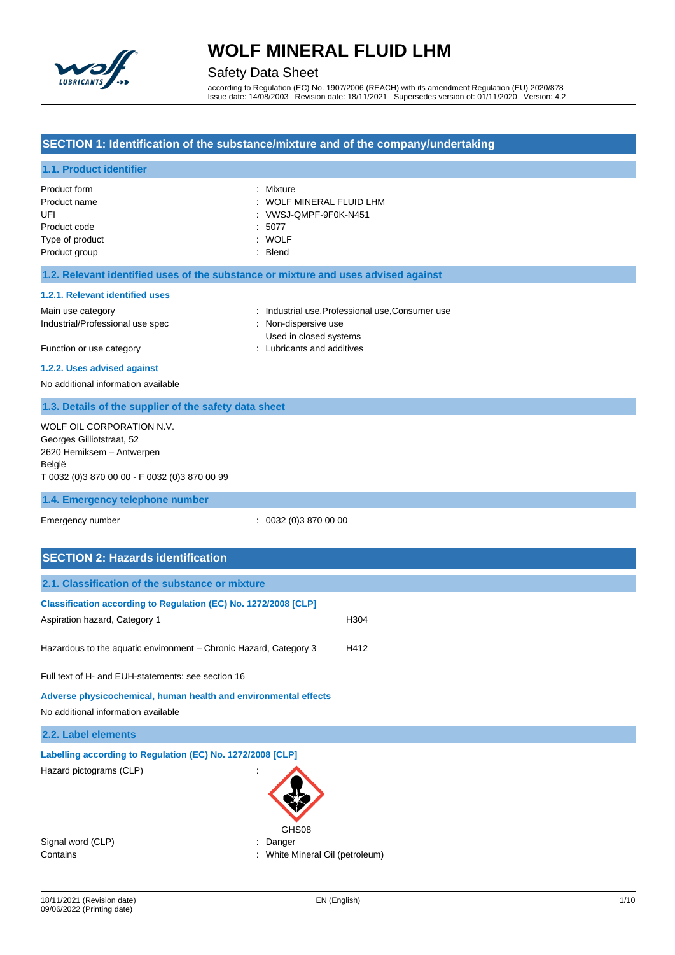

# Safety Data Sheet

according to Regulation (EC) No. 1907/2006 (REACH) with its amendment Regulation (EU) 2020/878 Issue date: 14/08/2003 Revision date: 18/11/2021 Supersedes version of: 01/11/2020 Version: 4.2

### **SECTION 1: Identification of the substance/mixture and of the company/undertaking**

### **1.1. Product identifier**

| Product form    | : Mixture                |
|-----------------|--------------------------|
| Product name    | : WOLF MINERAL FLUID LHM |
| UFI             | : VWSJ-QMPF-9F0K-N451    |
| Product code    | :5077                    |
| Type of product | : WOLF                   |
| Product group   | $:$ Blend                |

#### **1.2. Relevant identified uses of the substance or mixture and uses advised against**

#### **1.2.1. Relevant identified uses**

Main use category **industrial use, Professional use, Consumer use** industrial use, Professional use, Consumer use Industrial/Professional use spec : Non-dispersive use

Used in closed systems Function or use category **Exercise 20** Function or use category **in the case of the case of the case of the case of the case of the case of the case of the case of the case of the case of the case of the case of the case o** 

# **1.2.2. Uses advised against**

No additional information available

#### **1.3. Details of the supplier of the safety data sheet**

| WOLF OIL CORPORATION N.V.                     |  |
|-----------------------------------------------|--|
| Georges Gilliotstraat, 52                     |  |
| 2620 Hemiksem - Antwerpen                     |  |
| België                                        |  |
| T 0032 (0)3 870 00 00 - F 0032 (0)3 870 00 99 |  |
|                                               |  |
| 1.4. Emergency telephone number               |  |

Emergency number : 0032 (0)3 870 00 00

### **SECTION 2: Hazards identification**

| 2.1. Classification of the substance or mixture                   |                               |      |  |
|-------------------------------------------------------------------|-------------------------------|------|--|
| Classification according to Regulation (EC) No. 1272/2008 [CLP]   |                               |      |  |
| Aspiration hazard, Category 1                                     |                               | H304 |  |
| Hazardous to the aquatic environment – Chronic Hazard, Category 3 |                               | H412 |  |
| Full text of H- and EUH-statements: see section 16                |                               |      |  |
| Adverse physicochemical, human health and environmental effects   |                               |      |  |
| No additional information available                               |                               |      |  |
| 2.2. Label elements                                               |                               |      |  |
| Labelling according to Regulation (EC) No. 1272/2008 [CLP]        |                               |      |  |
| Hazard pictograms (CLP)                                           | GHS08                         |      |  |
| Signal word (CLP)                                                 | Danger                        |      |  |
| Contains                                                          | White Mineral Oil (petroleum) |      |  |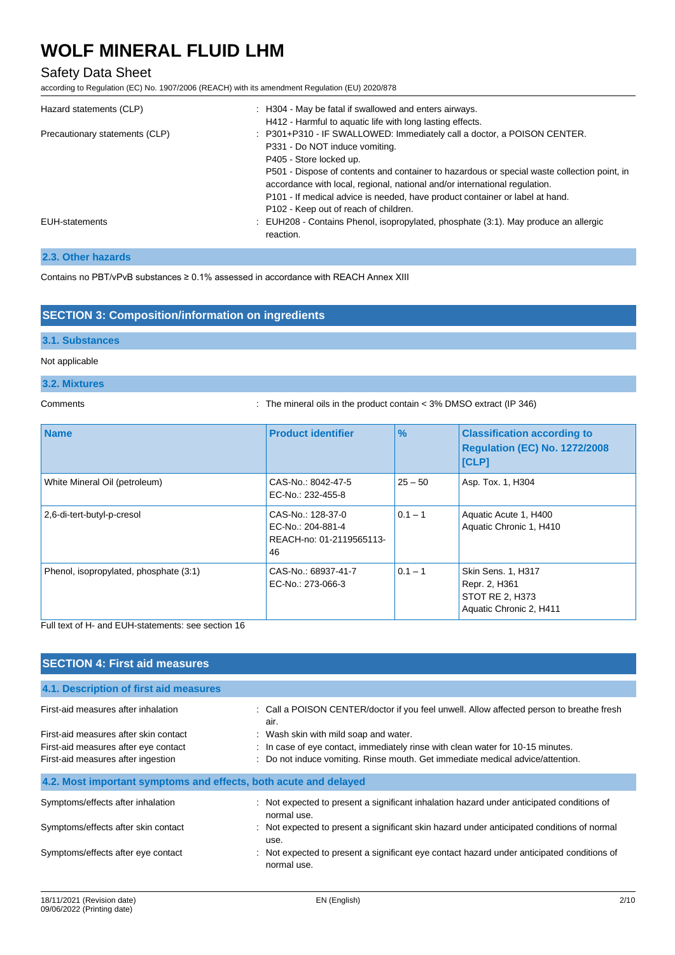### Safety Data Sheet

according to Regulation (EC) No. 1907/2006 (REACH) with its amendment Regulation (EU) 2020/878

| Hazard statements (CLP)        | : H304 - May be fatal if swallowed and enters airways.<br>H412 - Harmful to aquatic life with long lasting effects.                                                                                                                                                                                |
|--------------------------------|----------------------------------------------------------------------------------------------------------------------------------------------------------------------------------------------------------------------------------------------------------------------------------------------------|
| Precautionary statements (CLP) | : P301+P310 - IF SWALLOWED: Immediately call a doctor, a POISON CENTER.<br>P331 - Do NOT induce vomiting.<br>P405 - Store locked up.                                                                                                                                                               |
|                                | P501 - Dispose of contents and container to hazardous or special waste collection point, in<br>accordance with local, regional, national and/or international regulation.<br>P101 - If medical advice is needed, have product container or label at hand.<br>P102 - Keep out of reach of children. |
| <b>EUH-statements</b>          | : EUH208 - Contains Phenol, isopropylated, phosphate (3:1). May produce an allergic<br>reaction.                                                                                                                                                                                                   |

#### **2.3. Other hazards**

Contains no PBT/vPvB substances ≥ 0.1% assessed in accordance with REACH Annex XIII

### **SECTION 3: Composition/information on ingredients**

#### **3.1. Substances**

#### Not applicable

#### **3.2. Mixtures**

Comments : The mineral oils in the product contain < 3% DMSO extract (IP 346)

| <b>Name</b>                            | <b>Product identifier</b>                                                | $\frac{9}{6}$ | <b>Classification according to</b><br><b>Regulation (EC) No. 1272/2008</b><br><b>[CLP]</b> |
|----------------------------------------|--------------------------------------------------------------------------|---------------|--------------------------------------------------------------------------------------------|
| White Mineral Oil (petroleum)          | CAS-No.: 8042-47-5<br>EC-No.: 232-455-8                                  | $25 - 50$     | Asp. Tox. 1, H304                                                                          |
| 2,6-di-tert-butyl-p-cresol             | CAS-No.: 128-37-0<br>EC-No.: 204-881-4<br>REACH-no: 01-2119565113-<br>46 | $0.1 - 1$     | Aquatic Acute 1, H400<br>Aquatic Chronic 1, H410                                           |
| Phenol, isopropylated, phosphate (3:1) | CAS-No.: 68937-41-7<br>EC-No.: 273-066-3                                 | $0.1 - 1$     | Skin Sens. 1, H317<br>Repr. 2, H361<br>STOT RE 2, H373<br>Aquatic Chronic 2, H411          |

Full text of H- and EUH-statements: see section 16

| <b>SECTION 4: First aid measures</b>                                       |                                                                                                                                                                 |  |
|----------------------------------------------------------------------------|-----------------------------------------------------------------------------------------------------------------------------------------------------------------|--|
| 4.1. Description of first aid measures                                     |                                                                                                                                                                 |  |
| First-aid measures after inhalation                                        | : Call a POISON CENTER/doctor if you feel unwell. Allow affected person to breathe fresh<br>air.                                                                |  |
| First-aid measures after skin contact                                      | : Wash skin with mild soap and water.                                                                                                                           |  |
| First-aid measures after eye contact<br>First-aid measures after ingestion | : In case of eye contact, immediately rinse with clean water for 10-15 minutes.<br>Do not induce vomiting. Rinse mouth. Get immediate medical advice/attention. |  |
|                                                                            |                                                                                                                                                                 |  |
| 4.2. Most important symptoms and effects, both acute and delayed           |                                                                                                                                                                 |  |
| Symptoms/effects after inhalation                                          | : Not expected to present a significant inhalation hazard under anticipated conditions of<br>normal use.                                                        |  |
| Symptoms/effects after skin contact                                        | Not expected to present a significant skin hazard under anticipated conditions of normal<br>use.                                                                |  |
| Symptoms/effects after eye contact                                         | Not expected to present a significant eye contact hazard under anticipated conditions of<br>normal use.                                                         |  |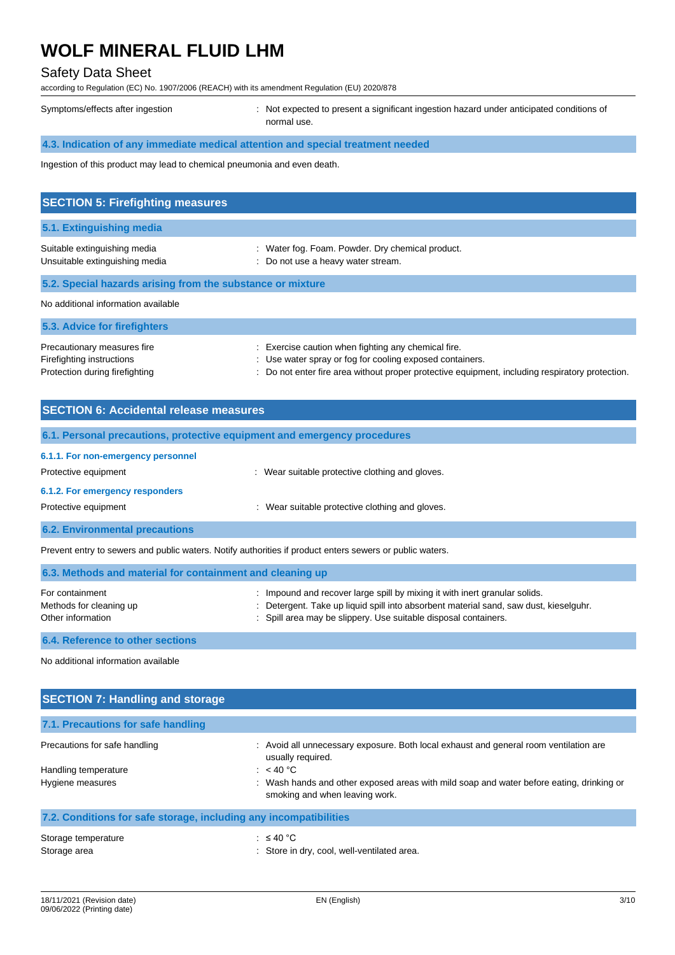### Safety Data Sheet

according to Regulation (EC) No. 1907/2006 (REACH) with its amendment Regulation (EU) 2020/878

Symptoms/effects after ingestion : Not expected to present a significant ingestion hazard under anticipated conditions of normal use.

### **4.3. Indication of any immediate medical attention and special treatment needed**

Ingestion of this product may lead to chemical pneumonia and even death.

| <b>SECTION 5: Firefighting measures</b>                        |                                                                                        |  |
|----------------------------------------------------------------|----------------------------------------------------------------------------------------|--|
| 5.1. Extinguishing media                                       |                                                                                        |  |
| Suitable extinguishing media<br>Unsuitable extinguishing media | : Water fog. Foam. Powder. Dry chemical product.<br>: Do not use a heavy water stream. |  |
| 5.2. Special hazards arising from the substance or mixture     |                                                                                        |  |
| No additional information available                            |                                                                                        |  |
| 5.3. Advice for firefighters                                   |                                                                                        |  |
| Precautionary measures fire                                    | Exercise caution when fighting any chemical fire.                                      |  |

Firefighting instructions **interval in the containers** : Use water spray or fog for cooling exposed containers. Protection during firefighting  $\blacksquare$ : Do not enter fire area without proper protective equipment, including respiratory protection.

| <b>SECTION 6: Accidental release measures</b>                                                            |                                                                                                                                                                     |  |  |
|----------------------------------------------------------------------------------------------------------|---------------------------------------------------------------------------------------------------------------------------------------------------------------------|--|--|
| 6.1. Personal precautions, protective equipment and emergency procedures                                 |                                                                                                                                                                     |  |  |
| 6.1.1. For non-emergency personnel<br>Protective equipment                                               | : Wear suitable protective clothing and gloves.                                                                                                                     |  |  |
| 6.1.2. For emergency responders<br>Protective equipment                                                  | : Wear suitable protective clothing and gloves.                                                                                                                     |  |  |
| <b>6.2. Environmental precautions</b>                                                                    |                                                                                                                                                                     |  |  |
| Prevent entry to sewers and public waters. Notify authorities if product enters sewers or public waters. |                                                                                                                                                                     |  |  |
| 6.3. Methods and material for containment and cleaning up                                                |                                                                                                                                                                     |  |  |
| For containment<br>Methods for cleaning up                                                               | : Impound and recover large spill by mixing it with inert granular solids.<br>: Detergent. Take up liquid spill into absorbent material sand, saw dust, kieselguhr. |  |  |

Other information **containers** : Spill area may be slippery. Use suitable disposal containers.

**6.4. Reference to other sections**

No additional information available

| <b>SECTION 7: Handling and storage</b>                            |                                                                                                                            |  |
|-------------------------------------------------------------------|----------------------------------------------------------------------------------------------------------------------------|--|
| 7.1. Precautions for safe handling                                |                                                                                                                            |  |
| Precautions for safe handling                                     | : Avoid all unnecessary exposure. Both local exhaust and general room ventilation are<br>usually required.                 |  |
| Handling temperature                                              | : $<$ 40 °C                                                                                                                |  |
| Hygiene measures                                                  | : Wash hands and other exposed areas with mild soap and water before eating, drinking or<br>smoking and when leaving work. |  |
| 7.2. Conditions for safe storage, including any incompatibilities |                                                                                                                            |  |
| Storage temperature                                               | : $\leq 40$ °C                                                                                                             |  |
| Storage area                                                      | : Store in dry, cool, well-ventilated area.                                                                                |  |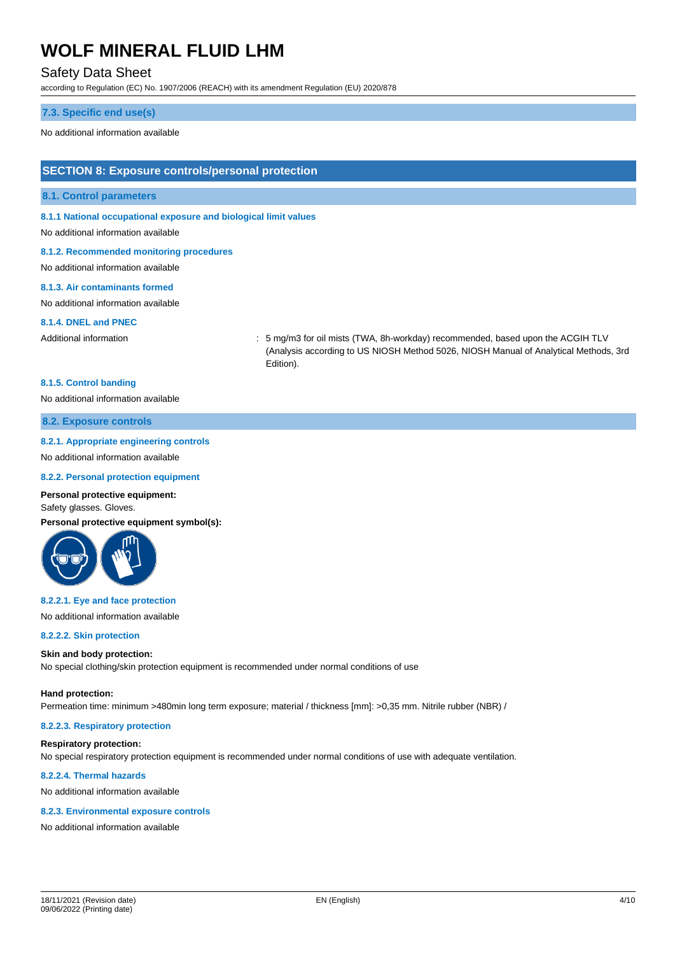### Safety Data Sheet

according to Regulation (EC) No. 1907/2006 (REACH) with its amendment Regulation (EU) 2020/878

#### **7.3. Specific end use(s)**

No additional information available

#### **SECTION 8: Exposure controls/personal protection**

#### **8.1. Control parameters**

**8.1.1 National occupational exposure and biological limit values**

#### No additional information available

**8.1.2. Recommended monitoring procedures**

No additional information available

#### **8.1.3. Air contaminants formed**

No additional information available

#### **8.1.4. DNEL and PNEC**

Additional information : 5 mg/m3 for oil mists (TWA, 8h-workday) recommended, based upon the ACGIH TLV (Analysis according to US NIOSH Method 5026, NIOSH Manual of Analytical Methods, 3rd Edition).

#### **8.1.5. Control banding**

No additional information available

#### **8.2. Exposure controls**

#### **8.2.1. Appropriate engineering controls**

No additional information available

#### **8.2.2. Personal protection equipment**

#### **Personal protective equipment:**

Safety glasses. Gloves.

**Personal protective equipment symbol(s):**



#### **8.2.2.1. Eye and face protection**

No additional information available

#### **8.2.2.2. Skin protection**

#### **Skin and body protection:**

No special clothing/skin protection equipment is recommended under normal conditions of use

#### **Hand protection:**

Permeation time: minimum >480min long term exposure; material / thickness [mm]: >0,35 mm. Nitrile rubber (NBR) /

#### **8.2.2.3. Respiratory protection**

#### **Respiratory protection:**

No special respiratory protection equipment is recommended under normal conditions of use with adequate ventilation.

#### **8.2.2.4. Thermal hazards**

No additional information available

#### **8.2.3. Environmental exposure controls**

No additional information available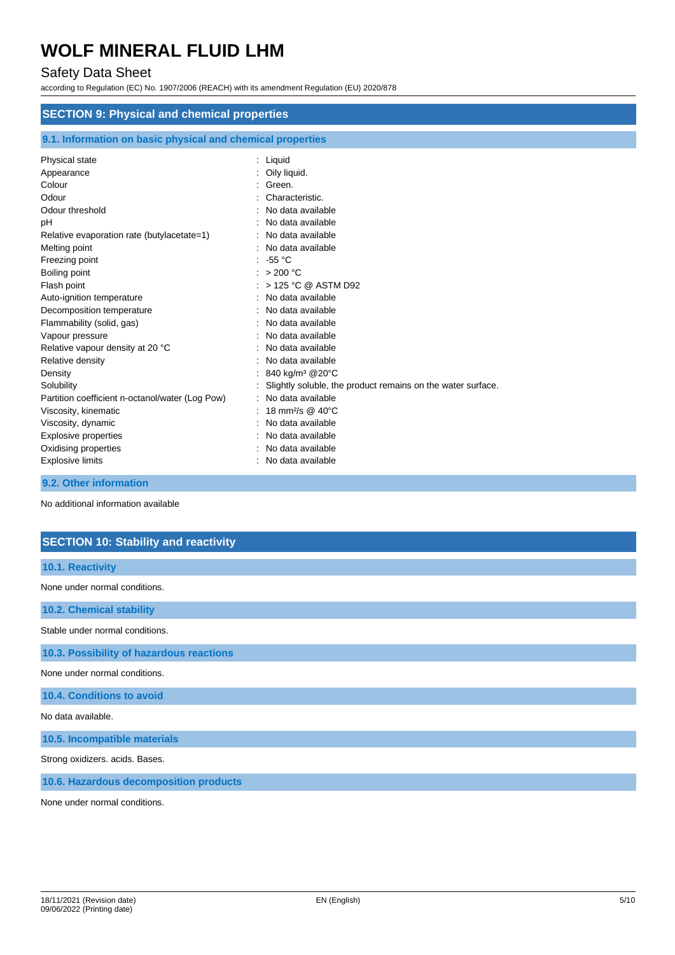### Safety Data Sheet

according to Regulation (EC) No. 1907/2006 (REACH) with its amendment Regulation (EU) 2020/878

| <b>SECTION 9: Physical and chemical properties</b>         |                                                             |  |  |
|------------------------------------------------------------|-------------------------------------------------------------|--|--|
| 9.1. Information on basic physical and chemical properties |                                                             |  |  |
| Physical state                                             | : Liquid                                                    |  |  |
| Appearance                                                 | Oily liquid.                                                |  |  |
| Colour                                                     | Green.                                                      |  |  |
| Odour                                                      | Characteristic.                                             |  |  |
| Odour threshold                                            | No data available                                           |  |  |
| рH                                                         | No data available                                           |  |  |
| Relative evaporation rate (butylacetate=1)                 | No data available                                           |  |  |
| Melting point                                              | No data available                                           |  |  |
| Freezing point                                             | -55 $^{\circ}$ C                                            |  |  |
| Boiling point                                              | : $>200$ °C                                                 |  |  |
| Flash point                                                | > 125 °C @ ASTM D92                                         |  |  |
| Auto-ignition temperature                                  | No data available                                           |  |  |
| Decomposition temperature                                  | No data available                                           |  |  |
| Flammability (solid, gas)                                  | No data available                                           |  |  |
| Vapour pressure                                            | No data available                                           |  |  |
| Relative vapour density at 20 °C                           | No data available                                           |  |  |
| Relative density                                           | No data available                                           |  |  |
| Density                                                    | 840 kg/m <sup>3</sup> @20°C                                 |  |  |
| Solubility                                                 | Slightly soluble, the product remains on the water surface. |  |  |
| Partition coefficient n-octanol/water (Log Pow)            | No data available                                           |  |  |
| Viscosity, kinematic                                       | 18 mm <sup>2</sup> /s @ 40°C                                |  |  |
| Viscosity, dynamic                                         | No data available                                           |  |  |
| <b>Explosive properties</b>                                | No data available                                           |  |  |
| Oxidising properties                                       | No data available                                           |  |  |
| <b>Explosive limits</b>                                    | No data available                                           |  |  |

**9.2. Other information**

No additional information available

### **SECTION 10: Stability and reactivity**

### **10.1. Reactivity**

None under normal conditions.

**10.2. Chemical stability**

Stable under normal conditions.

**10.3. Possibility of hazardous reactions**

None under normal conditions.

**10.4. Conditions to avoid**

No data available.

**10.5. Incompatible materials**

Strong oxidizers. acids. Bases.

**10.6. Hazardous decomposition products**

None under normal conditions.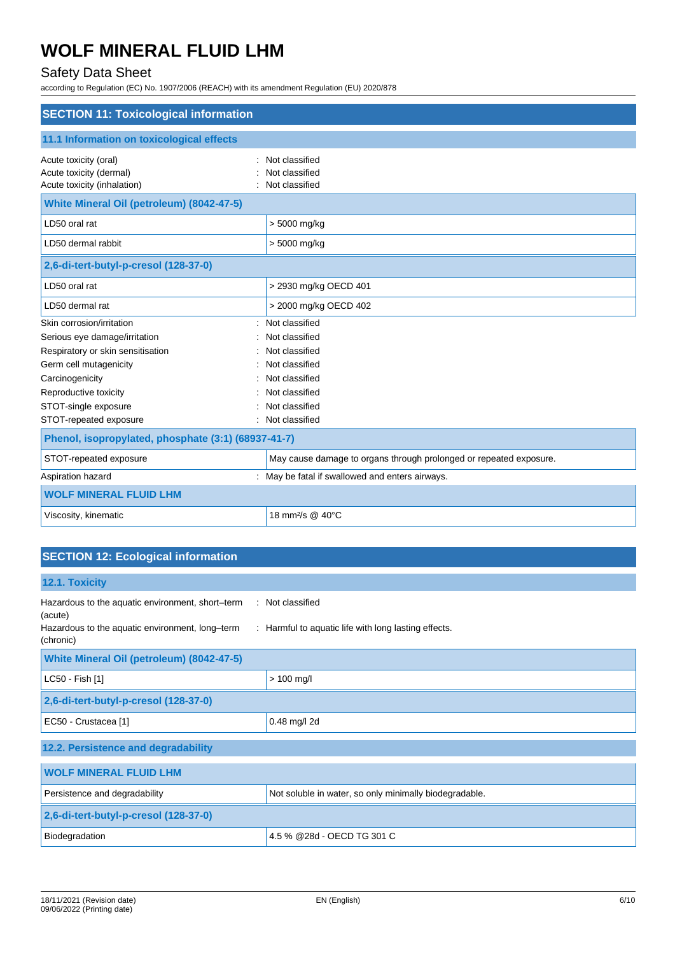# Safety Data Sheet

according to Regulation (EC) No. 1907/2006 (REACH) with its amendment Regulation (EU) 2020/878

| <b>SECTION 11: Toxicological information</b>                                    |                                                                    |  |
|---------------------------------------------------------------------------------|--------------------------------------------------------------------|--|
| 11.1 Information on toxicological effects                                       |                                                                    |  |
| Acute toxicity (oral)<br>Acute toxicity (dermal)<br>Acute toxicity (inhalation) | Not classified<br>Not classified<br>Not classified                 |  |
| White Mineral Oil (petroleum) (8042-47-5)                                       |                                                                    |  |
| LD50 oral rat                                                                   | > 5000 mg/kg                                                       |  |
| LD50 dermal rabbit                                                              | > 5000 mg/kg                                                       |  |
| 2,6-di-tert-butyl-p-cresol (128-37-0)                                           |                                                                    |  |
| LD50 oral rat                                                                   | > 2930 mg/kg OECD 401                                              |  |
| LD50 dermal rat                                                                 | > 2000 mg/kg OECD 402                                              |  |
| Skin corrosion/irritation<br>$\bullet$                                          | Not classified                                                     |  |
| Serious eye damage/irritation                                                   | Not classified                                                     |  |
| Respiratory or skin sensitisation                                               | Not classified                                                     |  |
| Germ cell mutagenicity                                                          | Not classified                                                     |  |
| Carcinogenicity                                                                 | Not classified                                                     |  |
| Reproductive toxicity                                                           | Not classified                                                     |  |
| STOT-single exposure                                                            | Not classified                                                     |  |
| STOT-repeated exposure                                                          | : Not classified                                                   |  |
| Phenol, isopropylated, phosphate (3:1) (68937-41-7)                             |                                                                    |  |
| STOT-repeated exposure                                                          | May cause damage to organs through prolonged or repeated exposure. |  |
| Aspiration hazard                                                               | : May be fatal if swallowed and enters airways.                    |  |
| <b>WOLF MINERAL FLUID LHM</b>                                                   |                                                                    |  |
| Viscosity, kinematic                                                            | 18 mm <sup>2</sup> /s @ 40°C                                       |  |

# **SECTION 12: Ecological information**

| 12.1. Toxicity                                                                                                              |                                                                          |
|-----------------------------------------------------------------------------------------------------------------------------|--------------------------------------------------------------------------|
| Hazardous to the aquatic environment, short-term<br>(acute)<br>Hazardous to the aquatic environment, long-term<br>(chronic) | : Not classified<br>: Harmful to aquatic life with long lasting effects. |
| <b>White Mineral Oil (petroleum) (8042-47-5)</b>                                                                            |                                                                          |
| LC50 - Fish [1]                                                                                                             | $> 100$ mg/l                                                             |
| 2,6-di-tert-butyl-p-cresol (128-37-0)                                                                                       |                                                                          |
| EC50 - Crustacea [1]                                                                                                        | 0.48 mg/l 2d                                                             |
| 12.2. Persistence and degradability                                                                                         |                                                                          |
| <b>WOLF MINERAL FLUID LHM</b>                                                                                               |                                                                          |
| Persistence and degradability                                                                                               | Not soluble in water, so only minimally biodegradable.                   |
| 2,6-di-tert-butyl-p-cresol (128-37-0)                                                                                       |                                                                          |
| Biodegradation                                                                                                              | 4.5 % @28d - OECD TG 301 C                                               |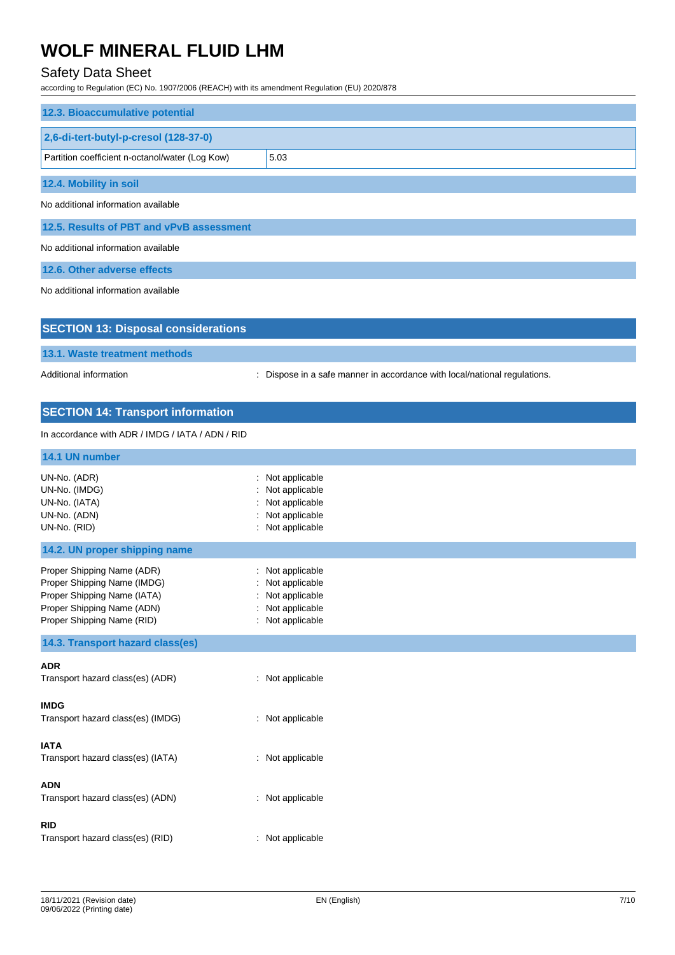# Safety Data Sheet

according to Regulation (EC) No. 1907/2006 (REACH) with its amendment Regulation (EU) 2020/878

| 12.3. Bioaccumulative potential                 |      |
|-------------------------------------------------|------|
| 2,6-di-tert-butyl-p-cresol (128-37-0)           |      |
| Partition coefficient n-octanol/water (Log Kow) | 5.03 |
| 12.4. Mobility in soil                          |      |
| No additional information available             |      |
| 12.5. Results of PBT and vPvB assessment        |      |
| No additional information available             |      |
| 12.6. Other adverse effects                     |      |

No additional information available

| <b>SECTION 13: Disposal considerations</b>                                                                                                           |                                                                                             |
|------------------------------------------------------------------------------------------------------------------------------------------------------|---------------------------------------------------------------------------------------------|
| 13.1. Waste treatment methods                                                                                                                        |                                                                                             |
| Additional information                                                                                                                               | Dispose in a safe manner in accordance with local/national regulations.<br>÷                |
| <b>SECTION 14: Transport information</b>                                                                                                             |                                                                                             |
| In accordance with ADR / IMDG / IATA / ADN / RID                                                                                                     |                                                                                             |
| 14.1 UN number                                                                                                                                       |                                                                                             |
| UN-No. (ADR)<br>UN-No. (IMDG)<br>UN-No. (IATA)<br>UN-No. (ADN)<br>UN-No. (RID)                                                                       | : Not applicable<br>Not applicable<br>Not applicable<br>Not applicable<br>Not applicable    |
| 14.2. UN proper shipping name                                                                                                                        |                                                                                             |
| Proper Shipping Name (ADR)<br>Proper Shipping Name (IMDG)<br>Proper Shipping Name (IATA)<br>Proper Shipping Name (ADN)<br>Proper Shipping Name (RID) | Not applicable<br>Not applicable<br>Not applicable<br>÷<br>Not applicable<br>Not applicable |
| 14.3. Transport hazard class(es)                                                                                                                     |                                                                                             |
| <b>ADR</b><br>Transport hazard class(es) (ADR)                                                                                                       | : Not applicable                                                                            |
| <b>IMDG</b><br>Transport hazard class(es) (IMDG)                                                                                                     | : Not applicable                                                                            |
| <b>IATA</b><br>Transport hazard class(es) (IATA)                                                                                                     | : Not applicable                                                                            |
| <b>ADN</b><br>Transport hazard class(es) (ADN)                                                                                                       | : Not applicable                                                                            |
| RID<br>Transport hazard class(es) (RID)                                                                                                              | : Not applicable                                                                            |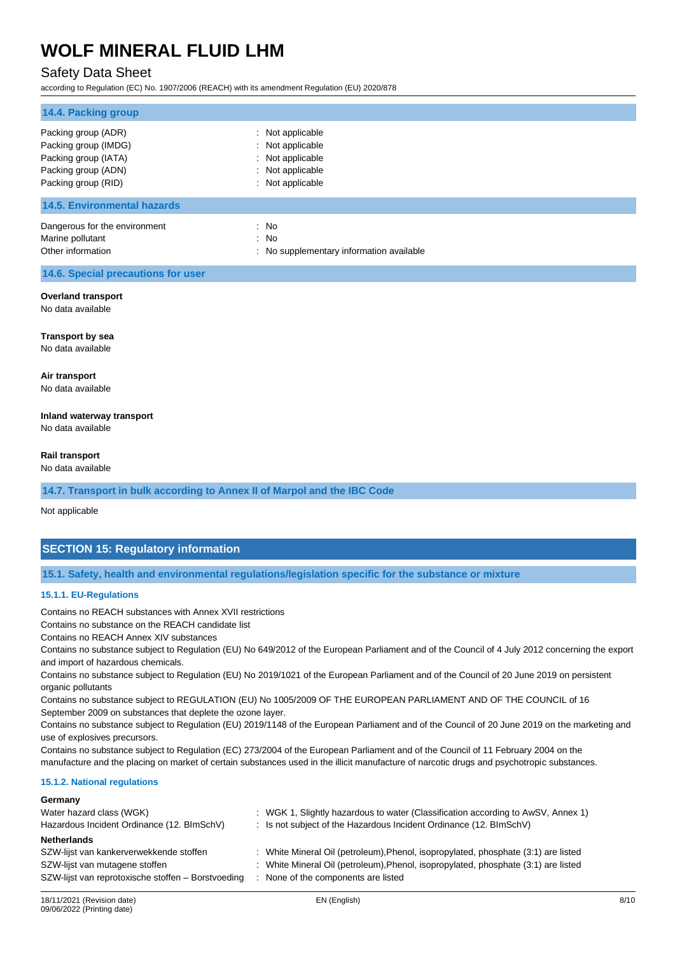### Safety Data Sheet

according to Regulation (EC) No. 1907/2006 (REACH) with its amendment Regulation (EU) 2020/878

| 14.4. Packing group                                                                                               |                                                                                                  |
|-------------------------------------------------------------------------------------------------------------------|--------------------------------------------------------------------------------------------------|
| Packing group (ADR)<br>Packing group (IMDG)<br>Packing group (IATA)<br>Packing group (ADN)<br>Packing group (RID) | : Not applicable<br>: Not applicable<br>: Not applicable<br>: Not applicable<br>: Not applicable |
| <b>14.5. Environmental hazards</b>                                                                                |                                                                                                  |
| Dangerous for the environment<br>Marine pollutant<br>Other information                                            | : No<br>: No<br>: No supplementary information available                                         |
| 14.6. Special precautions for user                                                                                |                                                                                                  |
| <b>Overland transport</b><br>No data available                                                                    |                                                                                                  |
| <b>Transport by sea</b><br>No data available                                                                      |                                                                                                  |

**Air transport** No data available

**Inland waterway transport** No data available

**Rail transport**

No data available

**14.7. Transport in bulk according to Annex II of Marpol and the IBC Code**

Not applicable

### **SECTION 15: Regulatory information**

**15.1. Safety, health and environmental regulations/legislation specific for the substance or mixture**

#### **15.1.1. EU-Regulations**

Contains no REACH substances with Annex XVII restrictions

Contains no substance on the REACH candidate list

Contains no REACH Annex XIV substances

Contains no substance subject to Regulation (EU) No 649/2012 of the European Parliament and of the Council of 4 July 2012 concerning the export and import of hazardous chemicals.

Contains no substance subject to Regulation (EU) No 2019/1021 of the European Parliament and of the Council of 20 June 2019 on persistent organic pollutants

Contains no substance subject to REGULATION (EU) No 1005/2009 OF THE EUROPEAN PARLIAMENT AND OF THE COUNCIL of 16 September 2009 on substances that deplete the ozone layer.

Contains no substance subject to Regulation (EU) 2019/1148 of the European Parliament and of the Council of 20 June 2019 on the marketing and use of explosives precursors.

Contains no substance subject to Regulation (EC) 273/2004 of the European Parliament and of the Council of 11 February 2004 on the manufacture and the placing on market of certain substances used in the illicit manufacture of narcotic drugs and psychotropic substances.

#### **15.1.2. National regulations**

| Germany                                            |                                                                                    |
|----------------------------------------------------|------------------------------------------------------------------------------------|
| Water hazard class (WGK)                           | : WGK 1, Slightly hazardous to water (Classification according to AwSV, Annex 1)   |
| Hazardous Incident Ordinance (12. BImSchV)         | : Is not subject of the Hazardous Incident Ordinance (12. BImSchV)                 |
| <b>Netherlands</b>                                 |                                                                                    |
| SZW-lijst van kankerverwekkende stoffen            | : White Mineral Oil (petroleum), Phenol, isopropylated, phosphate (3:1) are listed |
| SZW-lijst van mutagene stoffen                     | : White Mineral Oil (petroleum), Phenol, isopropylated, phosphate (3:1) are listed |
| SZW-lijst van reprotoxische stoffen – Borstvoeding | : None of the components are listed                                                |
|                                                    |                                                                                    |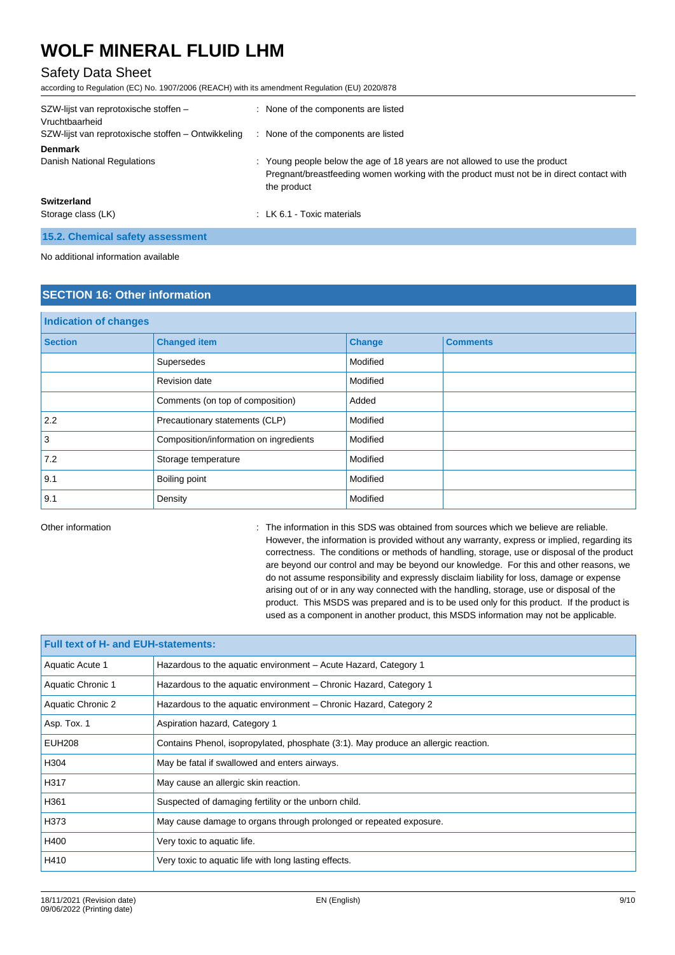## Safety Data Sheet

according to Regulation (EC) No. 1907/2006 (REACH) with its amendment Regulation (EU) 2020/878

| SZW-lijst van reprotoxische stoffen -<br>Vruchtbaarheid | : None of the components are listed                                                                                                                                                    |
|---------------------------------------------------------|----------------------------------------------------------------------------------------------------------------------------------------------------------------------------------------|
| SZW-lijst van reprotoxische stoffen - Ontwikkeling      | : None of the components are listed                                                                                                                                                    |
| <b>Denmark</b>                                          |                                                                                                                                                                                        |
| Danish National Regulations                             | : Young people below the age of 18 years are not allowed to use the product<br>Pregnant/breastfeeding women working with the product must not be in direct contact with<br>the product |
| <b>Switzerland</b><br>Storage class (LK)                | : LK 6.1 - Toxic materials                                                                                                                                                             |

**15.2. Chemical safety assessment**

No additional information available

## **SECTION 16: Other information**

| <b>Indication of changes</b> |                                        |               |                 |  |
|------------------------------|----------------------------------------|---------------|-----------------|--|
| <b>Section</b>               | <b>Changed item</b>                    | <b>Change</b> | <b>Comments</b> |  |
|                              | Supersedes                             | Modified      |                 |  |
|                              | Revision date                          | Modified      |                 |  |
|                              | Comments (on top of composition)       | Added         |                 |  |
| 2.2                          | Precautionary statements (CLP)         | Modified      |                 |  |
| 3                            | Composition/information on ingredients | Modified      |                 |  |
| 7.2                          | Storage temperature                    | Modified      |                 |  |
| 9.1                          | Boiling point                          | Modified      |                 |  |
| 9.1                          | Density                                | Modified      |                 |  |

Other information **in the information** in this SDS was obtained from sources which we believe are reliable. However, the information is provided without any warranty, express or implied, regarding its correctness. The conditions or methods of handling, storage, use or disposal of the product are beyond our control and may be beyond our knowledge. For this and other reasons, we do not assume responsibility and expressly disclaim liability for loss, damage or expense arising out of or in any way connected with the handling, storage, use or disposal of the product. This MSDS was prepared and is to be used only for this product. If the product is used as a component in another product, this MSDS information may not be applicable.

| <b>Full text of H- and EUH-statements:</b> |                                                                                    |  |  |
|--------------------------------------------|------------------------------------------------------------------------------------|--|--|
| Aquatic Acute 1                            | Hazardous to the aquatic environment – Acute Hazard, Category 1                    |  |  |
| Aquatic Chronic 1                          | Hazardous to the aquatic environment – Chronic Hazard, Category 1                  |  |  |
| Aquatic Chronic 2                          | Hazardous to the aquatic environment - Chronic Hazard, Category 2                  |  |  |
| Asp. Tox. 1                                | Aspiration hazard, Category 1                                                      |  |  |
| <b>EUH208</b>                              | Contains Phenol, isopropylated, phosphate (3:1). May produce an allergic reaction. |  |  |
| H304                                       | May be fatal if swallowed and enters airways.                                      |  |  |
| H317                                       | May cause an allergic skin reaction.                                               |  |  |
| H361                                       | Suspected of damaging fertility or the unborn child.                               |  |  |
| H373                                       | May cause damage to organs through prolonged or repeated exposure.                 |  |  |
| H400                                       | Very toxic to aquatic life.                                                        |  |  |
| H410                                       | Very toxic to aquatic life with long lasting effects.                              |  |  |